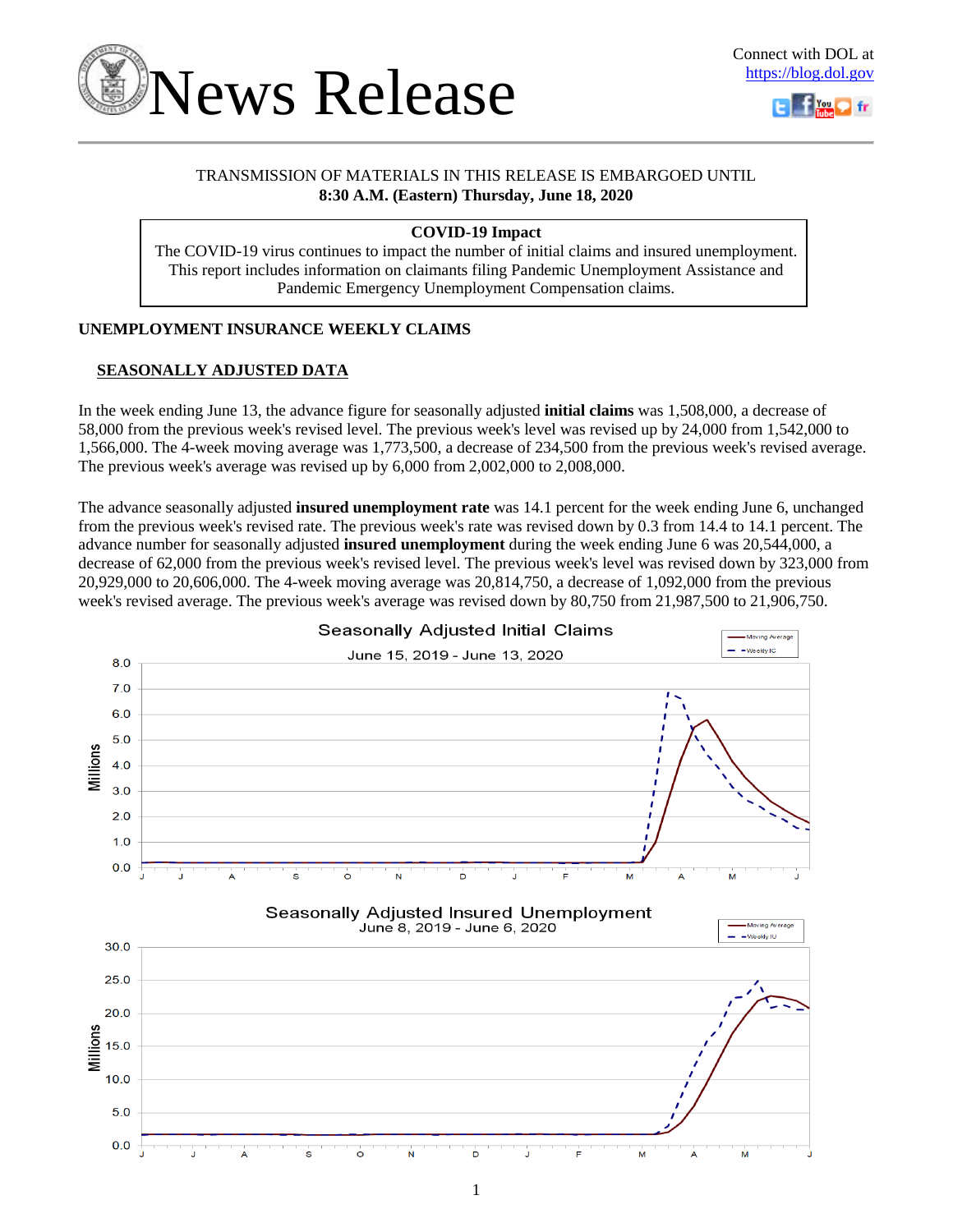



## TRANSMISSION OF MATERIALS IN THIS RELEASE IS EMBARGOED UNTIL **8:30 A.M. (Eastern) Thursday, June 18, 2020**

## **COVID-19 Impact**

The COVID-19 virus continues to impact the number of initial claims and insured unemployment. This report includes information on claimants filing Pandemic Unemployment Assistance and Pandemic Emergency Unemployment Compensation claims.

## **UNEMPLOYMENT INSURANCE WEEKLY CLAIMS**

## **SEASONALLY ADJUSTED DATA**

In the week ending June 13, the advance figure for seasonally adjusted **initial claims** was 1,508,000, a decrease of 58,000 from the previous week's revised level. The previous week's level was revised up by 24,000 from 1,542,000 to 1,566,000. The 4-week moving average was 1,773,500, a decrease of 234,500 from the previous week's revised average. The previous week's average was revised up by 6,000 from 2,002,000 to 2,008,000.

The advance seasonally adjusted **insured unemployment rate** was 14.1 percent for the week ending June 6, unchanged from the previous week's revised rate. The previous week's rate was revised down by 0.3 from 14.4 to 14.1 percent. The advance number for seasonally adjusted **insured unemployment** during the week ending June 6 was 20,544,000, a decrease of 62,000 from the previous week's revised level. The previous week's level was revised down by 323,000 from 20,929,000 to 20,606,000. The 4-week moving average was 20,814,750, a decrease of 1,092,000 from the previous week's revised average. The previous week's average was revised down by 80,750 from 21,987,500 to 21,906,750.

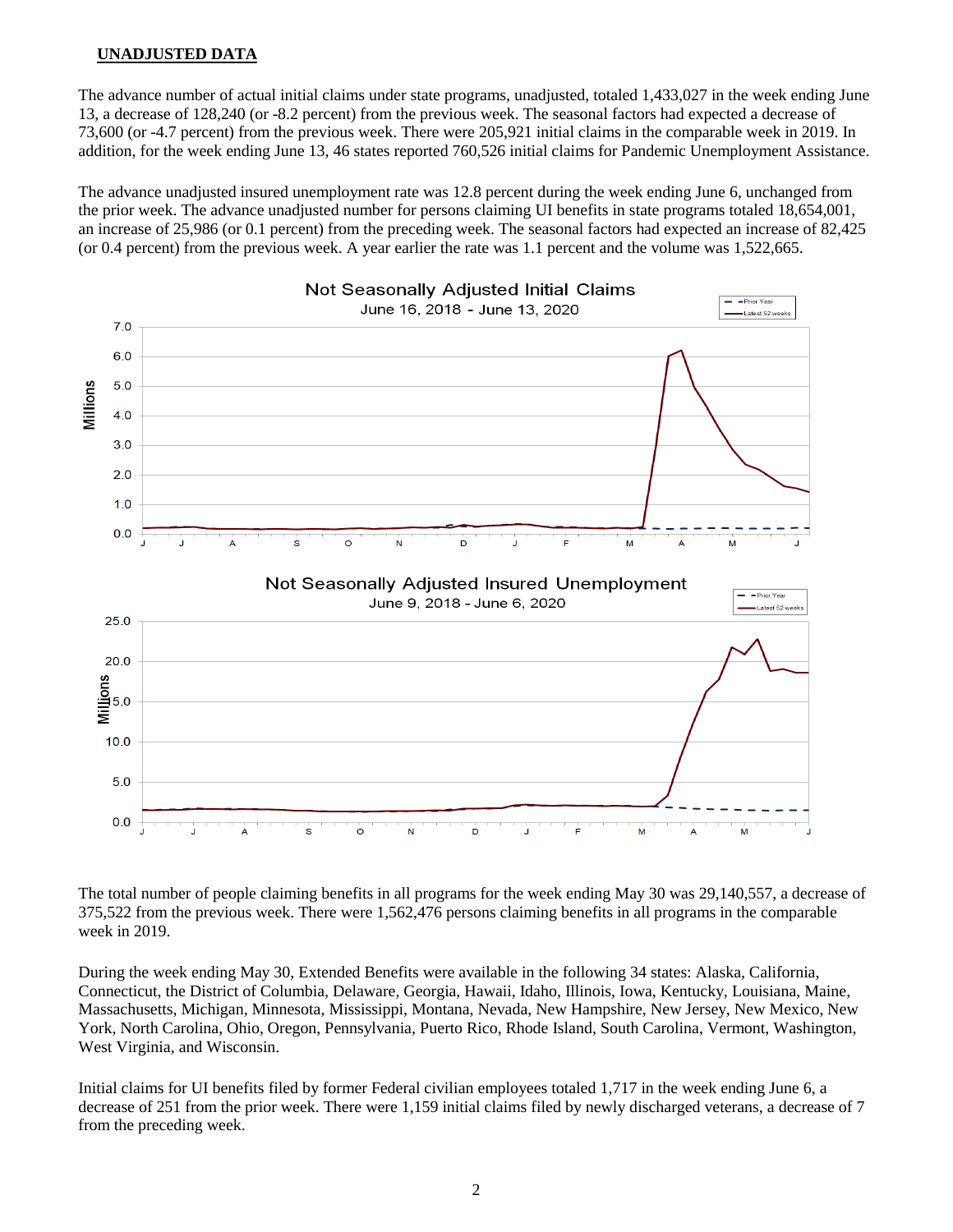## **UNADJUSTED DATA**

The advance number of actual initial claims under state programs, unadjusted, totaled 1,433,027 in the week ending June 13, a decrease of 128,240 (or -8.2 percent) from the previous week. The seasonal factors had expected a decrease of 73,600 (or -4.7 percent) from the previous week. There were 205,921 initial claims in the comparable week in 2019. In addition, for the week ending June 13, 46 states reported 760,526 initial claims for Pandemic Unemployment Assistance.

The advance unadjusted insured unemployment rate was 12.8 percent during the week ending June 6, unchanged from the prior week. The advance unadjusted number for persons claiming UI benefits in state programs totaled 18,654,001, an increase of 25,986 (or 0.1 percent) from the preceding week. The seasonal factors had expected an increase of 82,425 (or 0.4 percent) from the previous week. A year earlier the rate was 1.1 percent and the volume was 1,522,665.



The total number of people claiming benefits in all programs for the week ending May 30 was 29,140,557, a decrease of 375,522 from the previous week. There were 1,562,476 persons claiming benefits in all programs in the comparable week in 2019.

During the week ending May 30, Extended Benefits were available in the following 34 states: Alaska, California, Connecticut, the District of Columbia, Delaware, Georgia, Hawaii, Idaho, Illinois, Iowa, Kentucky, Louisiana, Maine, Massachusetts, Michigan, Minnesota, Mississippi, Montana, Nevada, New Hampshire, New Jersey, New Mexico, New York, North Carolina, Ohio, Oregon, Pennsylvania, Puerto Rico, Rhode Island, South Carolina, Vermont, Washington, West Virginia, and Wisconsin.

Initial claims for UI benefits filed by former Federal civilian employees totaled 1,717 in the week ending June 6, a decrease of 251 from the prior week. There were 1,159 initial claims filed by newly discharged veterans, a decrease of 7 from the preceding week.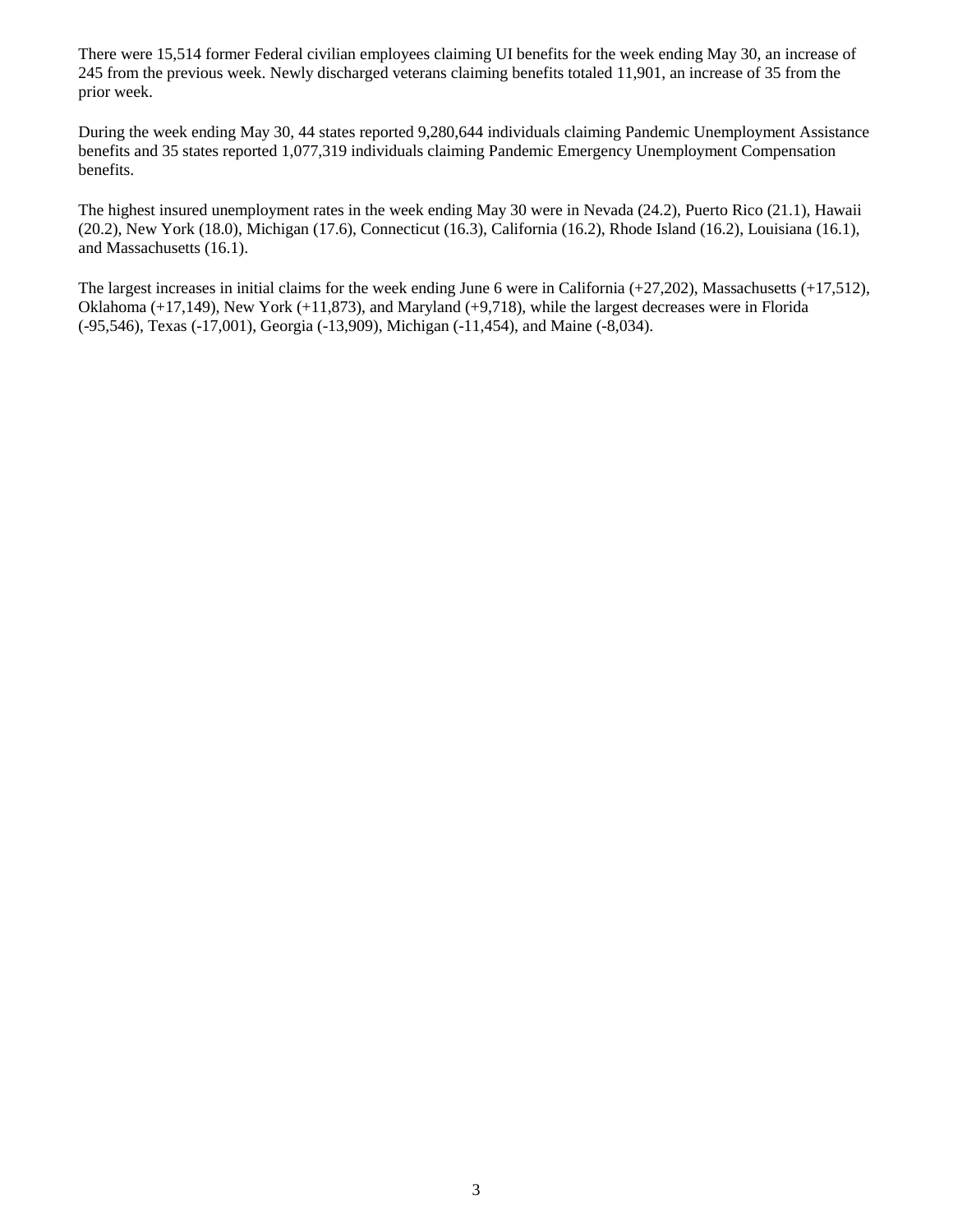There were 15,514 former Federal civilian employees claiming UI benefits for the week ending May 30, an increase of 245 from the previous week. Newly discharged veterans claiming benefits totaled 11,901, an increase of 35 from the prior week.

During the week ending May 30, 44 states reported 9,280,644 individuals claiming Pandemic Unemployment Assistance benefits and 35 states reported 1,077,319 individuals claiming Pandemic Emergency Unemployment Compensation benefits.

The highest insured unemployment rates in the week ending May 30 were in Nevada (24.2), Puerto Rico (21.1), Hawaii (20.2), New York (18.0), Michigan (17.6), Connecticut (16.3), California (16.2), Rhode Island (16.2), Louisiana (16.1), and Massachusetts (16.1).

The largest increases in initial claims for the week ending June 6 were in California  $(+27,202)$ , Massachusetts  $(+17,512)$ , Oklahoma (+17,149), New York (+11,873), and Maryland (+9,718), while the largest decreases were in Florida (-95,546), Texas (-17,001), Georgia (-13,909), Michigan (-11,454), and Maine (-8,034).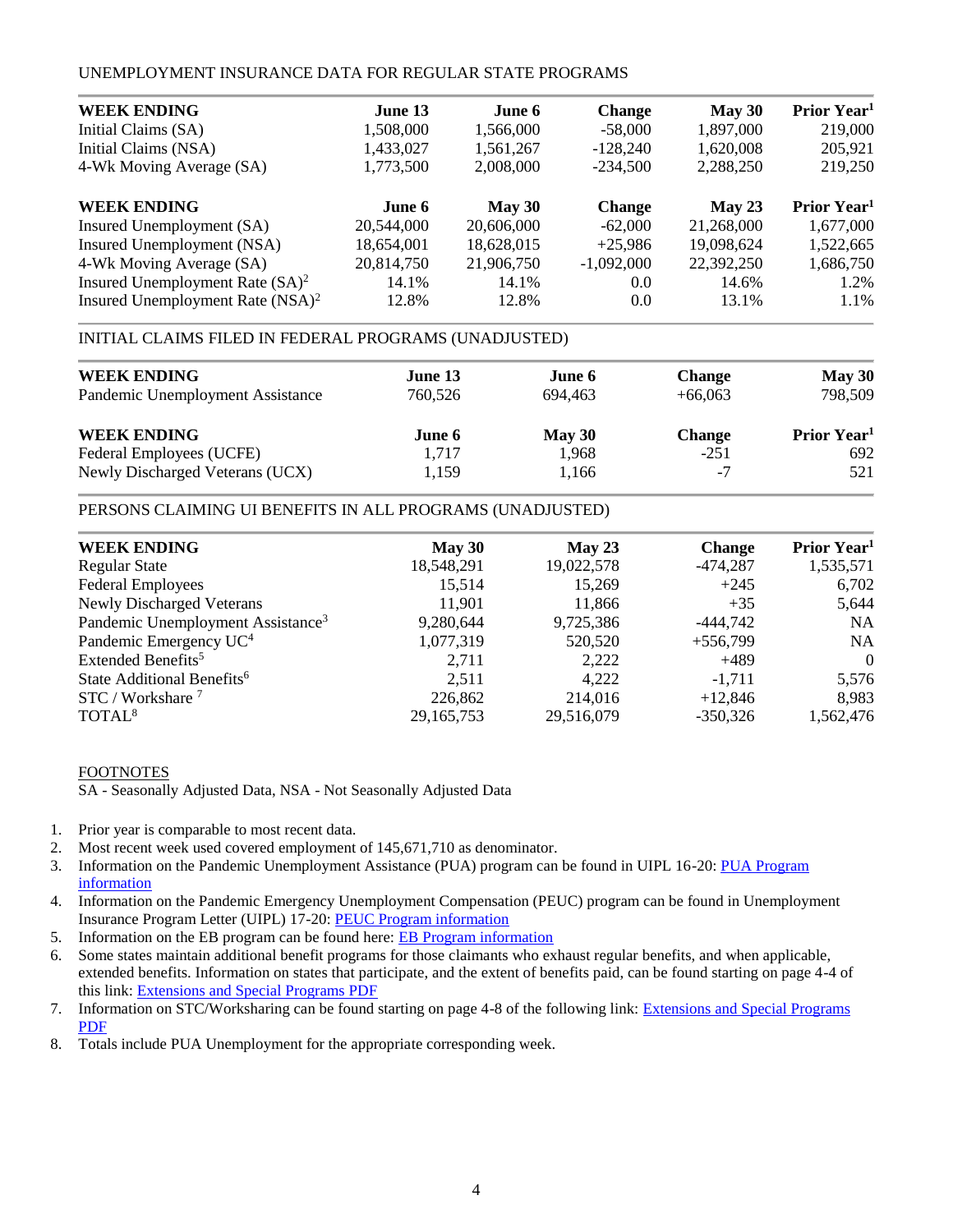## UNEMPLOYMENT INSURANCE DATA FOR REGULAR STATE PROGRAMS

| <b>WEEK ENDING</b>                  | June 13    | June 6     | <b>Change</b> | May 30     | Prior Year <sup>1</sup> |
|-------------------------------------|------------|------------|---------------|------------|-------------------------|
| Initial Claims (SA)                 | 1,508,000  | 1,566,000  | $-58,000$     | 1,897,000  | 219,000                 |
| Initial Claims (NSA)                | 1,433,027  | 1,561,267  | $-128,240$    | 1,620,008  | 205,921                 |
| 4-Wk Moving Average (SA)            | 1,773,500  | 2,008,000  | $-234.500$    | 2,288,250  | 219,250                 |
| <b>WEEK ENDING</b>                  | June 6     | May 30     | <b>Change</b> | May 23     | Prior Year <sup>1</sup> |
| Insured Unemployment (SA)           | 20,544,000 | 20,606,000 | $-62,000$     | 21,268,000 | 1,677,000               |
| Insured Unemployment (NSA)          | 18,654,001 | 18,628,015 | $+25,986$     | 19,098,624 | 1,522,665               |
| 4-Wk Moving Average (SA)            | 20,814,750 | 21,906,750 | $-1,092,000$  | 22,392,250 | 1,686,750               |
| Insured Unemployment Rate $(SA)^2$  | 14.1%      | 14.1%      | 0.0           | 14.6%      | 1.2%                    |
| Insured Unemployment Rate $(NSA)^2$ | 12.8%      | 12.8%      | 0.0           | 13.1%      | 1.1%                    |

## INITIAL CLAIMS FILED IN FEDERAL PROGRAMS (UNADJUSTED)

| <b>WEEK ENDING</b><br>Pandemic Unemployment Assistance | June 13<br>760,526 | June 6<br>694.463 | <b>Change</b><br>$+66,063$ | May 30<br>798,509       |
|--------------------------------------------------------|--------------------|-------------------|----------------------------|-------------------------|
| <b>WEEK ENDING</b>                                     | June 6             | May 30            | <b>Change</b>              | Prior Year <sup>1</sup> |
| Federal Employees (UCFE)                               | 1.717              | 1.968             | $-251$                     | 692                     |
| Newly Discharged Veterans (UCX)                        | 1,159              | 1,166             | -7                         | 521                     |

## PERSONS CLAIMING UI BENEFITS IN ALL PROGRAMS (UNADJUSTED)

| <b>WEEK ENDING</b>                            | May 30       | May 23     | <b>Change</b> | Prior Year <sup>1</sup> |
|-----------------------------------------------|--------------|------------|---------------|-------------------------|
| <b>Regular State</b>                          | 18,548,291   | 19,022,578 | $-474,287$    | 1,535,571               |
| <b>Federal Employees</b>                      | 15,514       | 15,269     | $+245$        | 6,702                   |
| <b>Newly Discharged Veterans</b>              | 11,901       | 11,866     | $+35$         | 5,644                   |
| Pandemic Unemployment Assistance <sup>3</sup> | 9,280,644    | 9,725,386  | $-444,742$    | <b>NA</b>               |
| Pandemic Emergency UC <sup>4</sup>            | 1,077,319    | 520,520    | $+556,799$    | <b>NA</b>               |
| Extended Benefits <sup>5</sup>                | 2.711        | 2,222      | $+489$        | $\Omega$                |
| State Additional Benefits <sup>6</sup>        | 2,511        | 4,222      | $-1.711$      | 5,576                   |
| STC / Workshare <sup>7</sup>                  | 226,862      | 214,016    | $+12,846$     | 8,983                   |
| TOTAL <sup>8</sup>                            | 29, 165, 753 | 29,516,079 | $-350,326$    | 1,562,476               |

## FOOTNOTES

SA - Seasonally Adjusted Data, NSA - Not Seasonally Adjusted Data

- 1. Prior year is comparable to most recent data.
- 2. Most recent week used covered employment of 145,671,710 as denominator.
- 3. Information on the Pandemic Unemployment Assistance (PUA) program can be found in UIPL 16-20: [PUA Program](https://wdr.doleta.gov/directives/corr_doc.cfm?DOCN=4628)  [information](https://wdr.doleta.gov/directives/corr_doc.cfm?DOCN=4628)
- 4. Information on the Pandemic Emergency Unemployment Compensation (PEUC) program can be found in Unemployment Insurance Program Letter (UIPL) 17-20: [PEUC Program information](https://wdr.doleta.gov/directives/corr_doc.cfm?DOCN=8452)
- 5. Information on the EB program can be found here: **EB Program information**
- 6. Some states maintain additional benefit programs for those claimants who exhaust regular benefits, and when applicable, extended benefits. Information on states that participate, and the extent of benefits paid, can be found starting on page 4-4 of this link: [Extensions and Special Programs PDF](https://oui.doleta.gov/unemploy/pdf/uilawcompar/2019/special.pdf#page=4)
- 7. Information on STC/Worksharing can be found starting on page 4-8 of the following link: [Extensions and Special Programs](https://oui.doleta.gov/unemploy/pdf/uilawcompar/2019/special.pdf#page=8)  [PDF](https://oui.doleta.gov/unemploy/pdf/uilawcompar/2019/special.pdf#page=8)
- 8. Totals include PUA Unemployment for the appropriate corresponding week.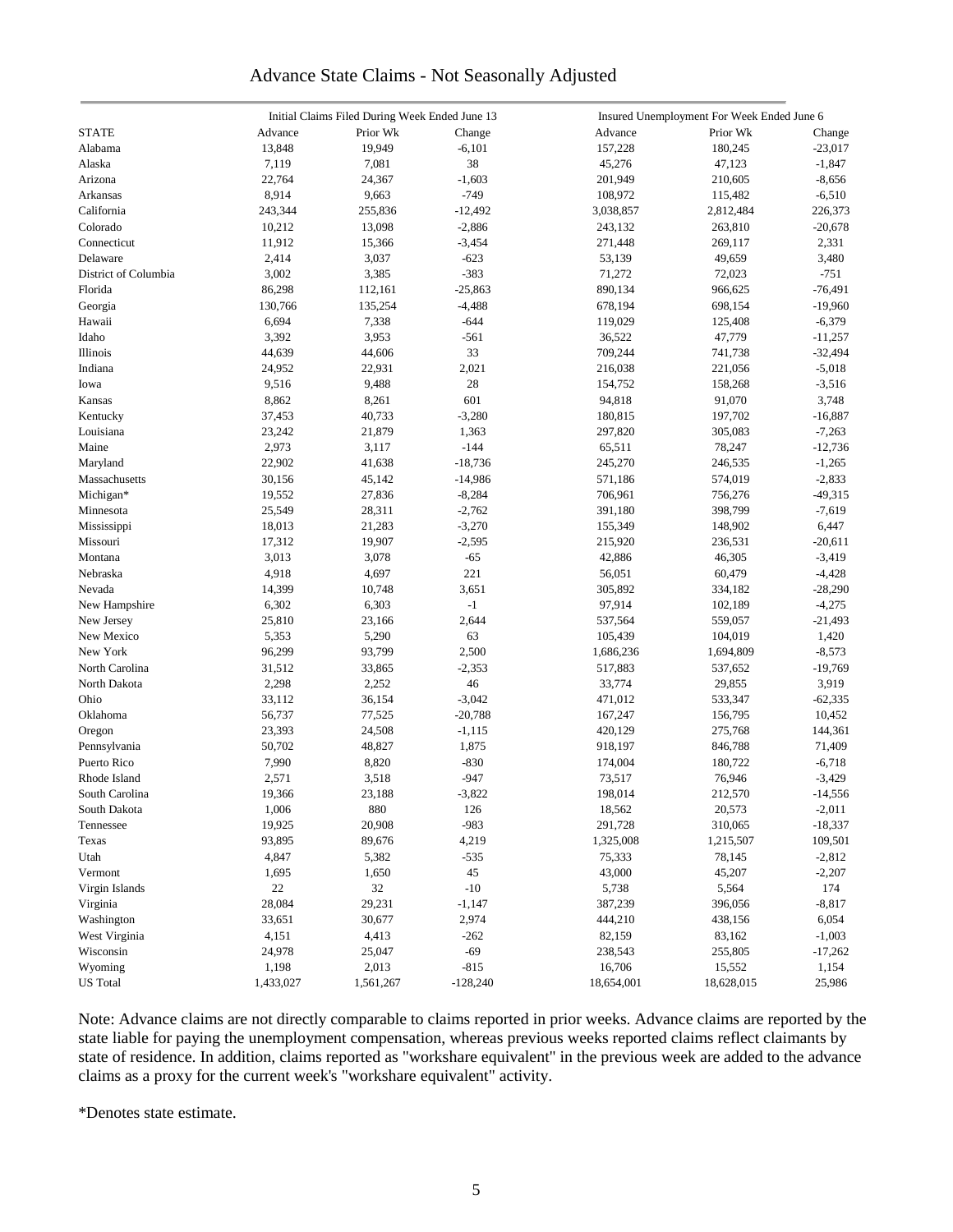## Advance State Claims - Not Seasonally Adjusted

|                      | Initial Claims Filed During Week Ended June 13 |           |            | Insured Unemployment For Week Ended June 6 |            |           |  |  |
|----------------------|------------------------------------------------|-----------|------------|--------------------------------------------|------------|-----------|--|--|
| <b>STATE</b>         | Advance                                        | Prior Wk  | Change     | Advance                                    | Prior Wk   | Change    |  |  |
| Alabama              | 13,848                                         | 19,949    | $-6,101$   | 157,228                                    | 180,245    | $-23,017$ |  |  |
| Alaska               | 7,119                                          | 7,081     | 38         | 45,276                                     | 47,123     | $-1,847$  |  |  |
| Arizona              | 22,764                                         | 24,367    | $-1,603$   | 201,949                                    | 210,605    | $-8,656$  |  |  |
| Arkansas             | 8,914                                          | 9,663     | $-749$     | 108,972                                    | 115,482    | $-6,510$  |  |  |
| California           | 243,344                                        | 255,836   | $-12,492$  | 3,038,857                                  | 2,812,484  | 226,373   |  |  |
| Colorado             | 10,212                                         | 13,098    | $-2,886$   | 243,132                                    | 263,810    | $-20,678$ |  |  |
| Connecticut          | 11,912                                         | 15,366    | $-3,454$   | 271,448                                    | 269,117    | 2,331     |  |  |
| Delaware             | 2,414                                          | 3,037     | $-623$     | 53,139                                     | 49,659     | 3,480     |  |  |
| District of Columbia | 3,002                                          | 3,385     | $-383$     | 71,272                                     | 72,023     | $-751$    |  |  |
| Florida              | 86,298                                         | 112,161   | $-25,863$  | 890,134                                    | 966,625    | $-76,491$ |  |  |
|                      | 130,766                                        | 135,254   | $-4,488$   | 678,194                                    | 698,154    | $-19,960$ |  |  |
| Georgia              |                                                |           |            |                                            |            |           |  |  |
| Hawaii               | 6,694                                          | 7,338     | $-644$     | 119,029                                    | 125,408    | $-6,379$  |  |  |
| Idaho                | 3,392                                          | 3,953     | $-561$     | 36,522                                     | 47,779     | $-11,257$ |  |  |
| Illinois             | 44,639                                         | 44,606    | 33         | 709,244                                    | 741,738    | $-32,494$ |  |  |
| Indiana              | 24,952                                         | 22,931    | 2,021      | 216,038                                    | 221,056    | $-5,018$  |  |  |
| Iowa                 | 9,516                                          | 9,488     | 28         | 154,752                                    | 158,268    | $-3,516$  |  |  |
| Kansas               | 8,862                                          | 8,261     | 601        | 94,818                                     | 91,070     | 3,748     |  |  |
| Kentucky             | 37,453                                         | 40,733    | $-3,280$   | 180,815                                    | 197,702    | $-16,887$ |  |  |
| Louisiana            | 23,242                                         | 21,879    | 1,363      | 297,820                                    | 305,083    | $-7,263$  |  |  |
| Maine                | 2,973                                          | 3,117     | $-144$     | 65,511                                     | 78,247     | $-12,736$ |  |  |
| Maryland             | 22,902                                         | 41,638    | $-18,736$  | 245,270                                    | 246,535    | $-1,265$  |  |  |
| Massachusetts        | 30,156                                         | 45,142    | $-14,986$  | 571,186                                    | 574,019    | $-2,833$  |  |  |
| Michigan*            | 19,552                                         | 27,836    | $-8,284$   | 706,961                                    | 756,276    | $-49,315$ |  |  |
| Minnesota            | 25,549                                         | 28,311    | $-2,762$   | 391,180                                    | 398,799    | $-7,619$  |  |  |
| Mississippi          | 18,013                                         | 21,283    | $-3,270$   | 155,349                                    | 148,902    | 6,447     |  |  |
| Missouri             | 17,312                                         | 19,907    | $-2,595$   | 215,920                                    | 236,531    | $-20,611$ |  |  |
| Montana              | 3,013                                          | 3,078     | $-65$      | 42,886                                     | 46,305     | $-3,419$  |  |  |
| Nebraska             | 4,918                                          | 4,697     | 221        | 56,051                                     | 60,479     | $-4,428$  |  |  |
| Nevada               | 14,399                                         | 10,748    | 3,651      | 305,892                                    | 334,182    | $-28,290$ |  |  |
| New Hampshire        | 6,302                                          | 6,303     | $-1$       | 97,914                                     | 102,189    | $-4,275$  |  |  |
| New Jersey           | 25,810                                         | 23,166    | 2,644      | 537,564                                    | 559,057    | $-21,493$ |  |  |
| New Mexico           | 5,353                                          | 5,290     | 63         | 105,439                                    | 104,019    | 1,420     |  |  |
| New York             | 96,299                                         | 93,799    | 2,500      | 1,686,236                                  | 1,694,809  | $-8,573$  |  |  |
| North Carolina       | 31,512                                         | 33,865    | $-2,353$   | 517,883                                    | 537,652    | $-19,769$ |  |  |
| North Dakota         | 2,298                                          | 2,252     | 46         | 33,774                                     | 29,855     | 3,919     |  |  |
| Ohio                 | 33,112                                         | 36,154    | $-3,042$   | 471,012                                    | 533,347    | $-62,335$ |  |  |
| Oklahoma             | 56,737                                         | 77,525    | $-20,788$  | 167,247                                    | 156,795    | 10,452    |  |  |
| Oregon               | 23,393                                         | 24,508    | $-1,115$   | 420,129                                    | 275,768    | 144,361   |  |  |
| Pennsylvania         | 50,702                                         | 48,827    | 1,875      | 918,197                                    | 846,788    | 71,409    |  |  |
| Puerto Rico          | 7,990                                          | 8,820     | $-830$     | 174,004                                    | 180,722    | $-6,718$  |  |  |
| Rhode Island         | 2,571                                          | 3,518     | $-947$     | 73,517                                     | 76,946     | $-3,429$  |  |  |
| South Carolina       | 19,366                                         | 23,188    | $-3,822$   | 198,014                                    | 212,570    | $-14,556$ |  |  |
| South Dakota         | 1,006                                          | 880       | 126        | 18,562                                     | 20,573     | $-2,011$  |  |  |
| Tennessee            | 19,925                                         | 20,908    | $-983$     | 291,728                                    | 310,065    | $-18,337$ |  |  |
|                      |                                                |           |            |                                            |            |           |  |  |
| Texas                | 93,895                                         | 89,676    | 4,219      | 1,325,008                                  | 1,215,507  | 109,501   |  |  |
| Utah                 | 4,847                                          | 5,382     | $-535$     | 75,333                                     | 78,145     | $-2,812$  |  |  |
| Vermont              | 1,695                                          | 1,650     | 45         | 43,000                                     | 45,207     | $-2,207$  |  |  |
| Virgin Islands       | $22\,$                                         | 32        | $-10$      | 5,738                                      | 5,564      | 174       |  |  |
| Virginia             | 28,084                                         | 29,231    | $-1,147$   | 387,239                                    | 396,056    | $-8,817$  |  |  |
| Washington           | 33,651                                         | 30,677    | 2,974      | 444,210                                    | 438,156    | 6,054     |  |  |
| West Virginia        | 4,151                                          | 4,413     | $-262$     | 82,159                                     | 83,162     | $-1,003$  |  |  |
| Wisconsin            | 24,978                                         | 25,047    | $-69$      | 238,543                                    | 255,805    | $-17,262$ |  |  |
| Wyoming              | 1,198                                          | 2,013     | $-815$     | 16,706                                     | 15,552     | 1,154     |  |  |
| <b>US</b> Total      | 1,433,027                                      | 1,561,267 | $-128,240$ | 18,654,001                                 | 18,628,015 | 25,986    |  |  |

Note: Advance claims are not directly comparable to claims reported in prior weeks. Advance claims are reported by the state liable for paying the unemployment compensation, whereas previous weeks reported claims reflect claimants by state of residence. In addition, claims reported as "workshare equivalent" in the previous week are added to the advance claims as a proxy for the current week's "workshare equivalent" activity.

\*Denotes state estimate.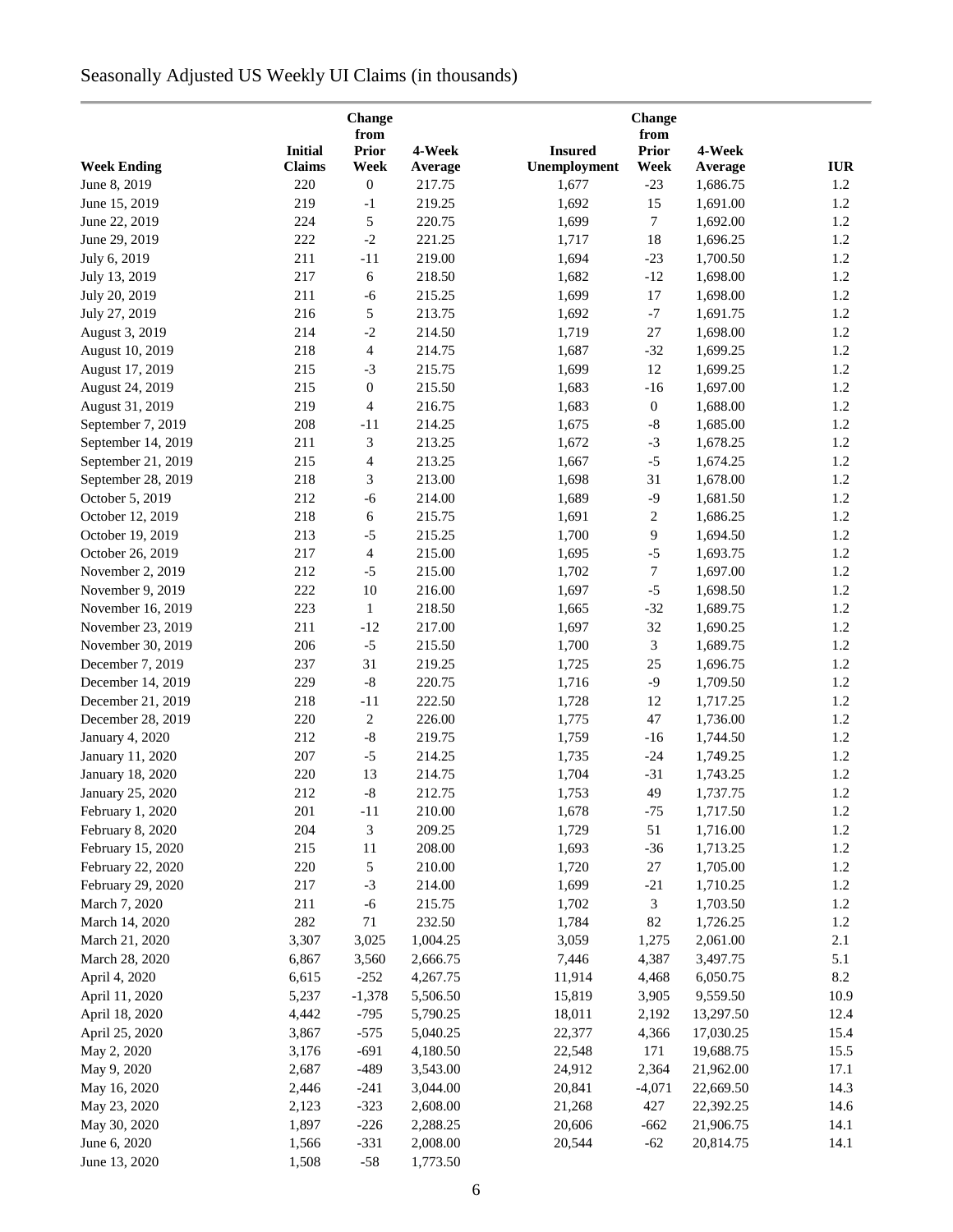# Seasonally Adjusted US Weekly UI Claims (in thousands)

|                    |                | Change<br>from   |          |                | <b>Change</b><br>from |           |            |
|--------------------|----------------|------------------|----------|----------------|-----------------------|-----------|------------|
|                    | <b>Initial</b> | <b>Prior</b>     | 4-Week   | <b>Insured</b> | <b>Prior</b>          | 4-Week    |            |
| <b>Week Ending</b> | <b>Claims</b>  | Week             | Average  | Unemployment   | Week                  | Average   | <b>IUR</b> |
| June 8, 2019       | 220            | $\boldsymbol{0}$ | 217.75   | 1,677          | $-23$                 | 1,686.75  | 1.2        |
| June 15, 2019      | 219            | $-1$             | 219.25   | 1,692          | 15                    | 1,691.00  | 1.2        |
| June 22, 2019      | 224            | 5                | 220.75   | 1,699          | $\tau$                | 1,692.00  | 1.2        |
| June 29, 2019      | 222            | $-2$             | 221.25   | 1,717          | 18                    | 1,696.25  | 1.2        |
| July 6, 2019       | 211            | $-11$            | 219.00   | 1,694          | $-23$                 | 1,700.50  | 1.2        |
| July 13, 2019      | 217            | $\sqrt{6}$       | 218.50   | 1,682          | $-12$                 | 1,698.00  | 1.2        |
| July 20, 2019      | 211            | $-6$             | 215.25   | 1,699          | 17                    | 1,698.00  | 1.2        |
| July 27, 2019      | 216            | $\sqrt{5}$       | 213.75   | 1,692          | $-7$                  | 1,691.75  | 1.2        |
| August 3, 2019     | 214            | $-2$             | 214.50   | 1,719          | $27\,$                | 1,698.00  | 1.2        |
| August 10, 2019    | 218            | 4                | 214.75   | 1,687          | $-32$                 | 1,699.25  | 1.2        |
| August 17, 2019    | 215            | $-3$             | 215.75   | 1,699          | 12                    | 1,699.25  | 1.2        |
| August 24, 2019    | 215            | $\boldsymbol{0}$ | 215.50   | 1,683          | $-16$                 | 1,697.00  | 1.2        |
| August 31, 2019    | 219            | $\overline{4}$   | 216.75   | 1,683          | $\boldsymbol{0}$      | 1,688.00  | 1.2        |
| September 7, 2019  | 208            | $-11$            | 214.25   | 1,675          | $\text{-}8$           | 1,685.00  | 1.2        |
| September 14, 2019 | 211            | 3                | 213.25   | 1,672          | $-3$                  | 1,678.25  | 1.2        |
|                    |                |                  |          |                |                       |           |            |
| September 21, 2019 | 215            | $\overline{4}$   | 213.25   | 1,667          | $-5$                  | 1,674.25  | 1.2        |
| September 28, 2019 | 218            | 3                | 213.00   | 1,698          | 31                    | 1,678.00  | 1.2        |
| October 5, 2019    | 212            | $-6$             | 214.00   | 1,689          | $-9$                  | 1,681.50  | 1.2        |
| October 12, 2019   | 218            | 6                | 215.75   | 1,691          | $\boldsymbol{2}$      | 1,686.25  | 1.2        |
| October 19, 2019   | 213            | $-5$             | 215.25   | 1,700          | 9                     | 1,694.50  | 1.2        |
| October 26, 2019   | 217            | $\overline{4}$   | 215.00   | 1,695          | $-5$                  | 1,693.75  | 1.2        |
| November 2, 2019   | 212            | $-5$             | 215.00   | 1,702          | 7                     | 1,697.00  | $1.2\,$    |
| November 9, 2019   | 222            | 10               | 216.00   | 1,697          | $-5$                  | 1,698.50  | 1.2        |
| November 16, 2019  | 223            | $\mathbf{1}$     | 218.50   | 1,665          | $-32$                 | 1,689.75  | 1.2        |
| November 23, 2019  | 211            | $-12$            | 217.00   | 1,697          | 32                    | 1,690.25  | $1.2\,$    |
| November 30, 2019  | 206            | $-5$             | 215.50   | 1,700          | $\mathfrak{Z}$        | 1,689.75  | $1.2\,$    |
| December 7, 2019   | 237            | 31               | 219.25   | 1,725          | 25                    | 1,696.75  | 1.2        |
| December 14, 2019  | 229            | $\text{-}8$      | 220.75   | 1,716          | $-9$                  | 1,709.50  | 1.2        |
| December 21, 2019  | 218            | $-11$            | 222.50   | 1,728          | 12                    | 1,717.25  | 1.2        |
| December 28, 2019  | 220            | $\boldsymbol{2}$ | 226.00   | 1,775          | $47\,$                | 1,736.00  | 1.2        |
| January 4, 2020    | 212            | $\mbox{-}8$      | 219.75   | 1,759          | $-16$                 | 1,744.50  | 1.2        |
| January 11, 2020   | 207            | $-5$             | 214.25   | 1,735          | $-24$                 | 1,749.25  | 1.2        |
| January 18, 2020   | 220            | 13               | 214.75   | 1,704          | $-31$                 | 1,743.25  | 1.2        |
| January 25, 2020   | 212            | $-8$             | 212.75   | 1,753          | 49                    | 1,737.75  | $1.2\,$    |
| February 1, 2020   | 201            | $-11$            | 210.00   | 1,678          | $-75$                 | 1,717.50  | 1.2        |
| February 8, 2020   | 204            | 3                | 209.25   | 1,729          | 51                    | 1,716.00  | 1.2        |
| February 15, 2020  | 215            | 11               | 208.00   | 1,693          | $-36$                 | 1,713.25  | 1.2        |
| February 22, 2020  | 220            | 5                | 210.00   | 1,720          | 27                    | 1,705.00  | 1.2        |
| February 29, 2020  | 217            | $-3$             | 214.00   | 1,699          | $-21$                 | 1,710.25  | 1.2        |
| March 7, 2020      | 211            | $-6$             | 215.75   | 1,702          | 3                     | 1,703.50  | 1.2        |
| March 14, 2020     | 282            | $71\,$           | 232.50   | 1,784          | 82                    | 1,726.25  | 1.2        |
| March 21, 2020     | 3,307          | 3,025            | 1,004.25 | 3,059          | 1,275                 | 2,061.00  | 2.1        |
| March 28, 2020     | 6,867          | 3,560            | 2,666.75 | 7,446          | 4,387                 | 3,497.75  | 5.1        |
| April 4, 2020      | 6,615          | $-252$           | 4,267.75 | 11,914         | 4,468                 | 6,050.75  | 8.2        |
| April 11, 2020     | 5,237          | $-1,378$         | 5,506.50 | 15,819         | 3,905                 | 9,559.50  | 10.9       |
| April 18, 2020     | 4,442          | $-795$           | 5,790.25 | 18,011         | 2,192                 | 13,297.50 | 12.4       |
| April 25, 2020     | 3,867          | $-575$           | 5,040.25 | 22,377         | 4,366                 | 17,030.25 | 15.4       |
| May 2, 2020        | 3,176          | $-691$           | 4,180.50 | 22,548         | 171                   | 19,688.75 | 15.5       |
| May 9, 2020        | 2,687          | $-489$           | 3,543.00 | 24,912         | 2,364                 | 21,962.00 | 17.1       |
| May 16, 2020       | 2,446          | $-241$           | 3,044.00 | 20,841         | $-4,071$              | 22,669.50 | 14.3       |
| May 23, 2020       | 2,123          | $-323$           | 2,608.00 | 21,268         | 427                   | 22,392.25 | 14.6       |
| May 30, 2020       | 1,897          | $-226$           | 2,288.25 | 20,606         | $-662$                | 21,906.75 | 14.1       |
| June 6, 2020       | 1,566          | $-331$           | 2,008.00 | 20,544         | $-62$                 | 20,814.75 | 14.1       |
| June 13, 2020      | 1,508          | $-58$            | 1,773.50 |                |                       |           |            |
|                    |                |                  |          |                |                       |           |            |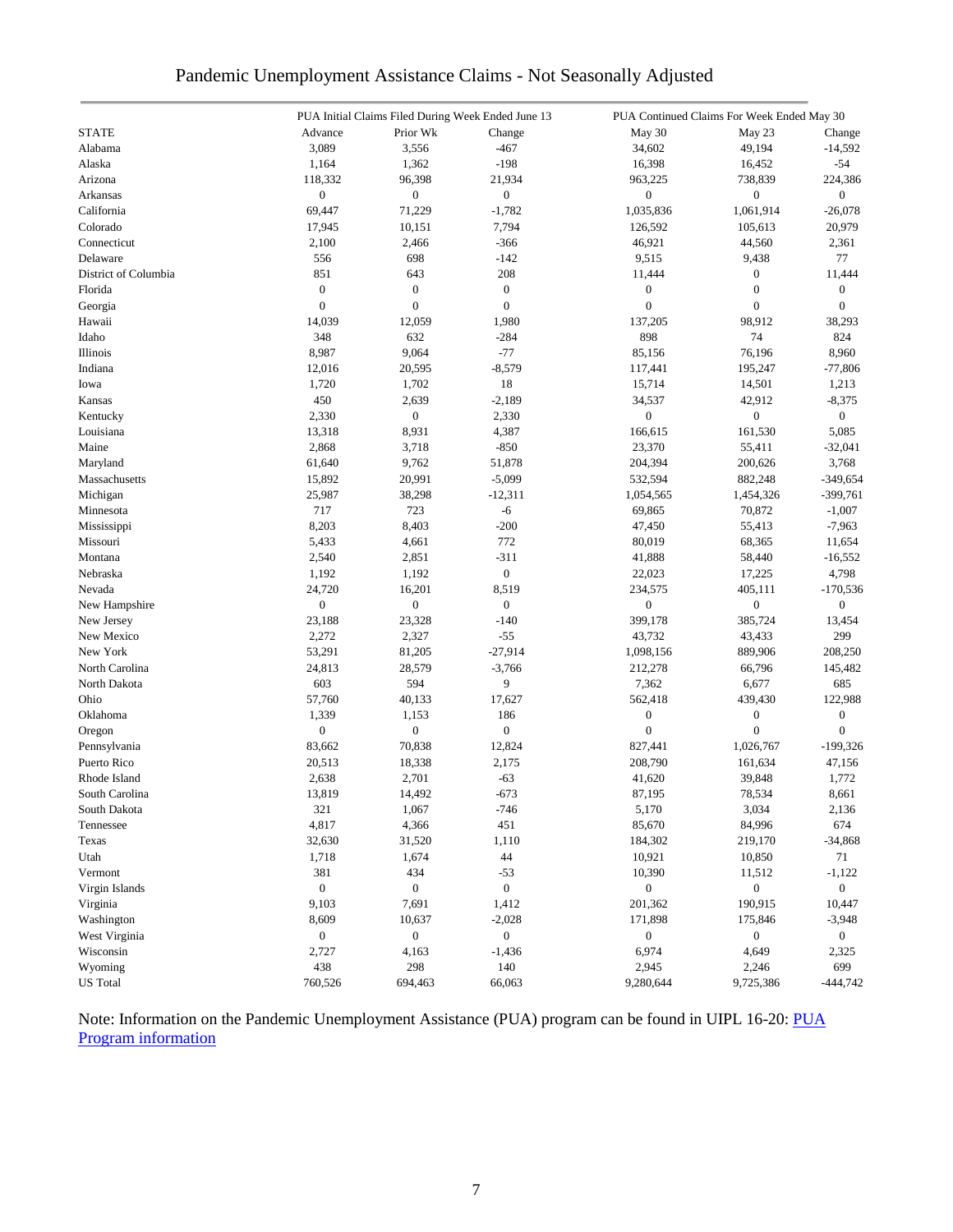| Pandemic Unemployment Assistance Claims - Not Seasonally Adjusted |  |  |  |  |  |  |  |  |
|-------------------------------------------------------------------|--|--|--|--|--|--|--|--|
|-------------------------------------------------------------------|--|--|--|--|--|--|--|--|

|                      |                  |                           | PUA Initial Claims Filed During Week Ended June 13 |                  | PUA Continued Claims For Week Ended May 30 |                  |
|----------------------|------------------|---------------------------|----------------------------------------------------|------------------|--------------------------------------------|------------------|
| <b>STATE</b>         | Advance          | Prior Wk                  | Change                                             | May 30           | May 23                                     | Change           |
| Alabama              | 3,089            | 3,556                     | $-467$                                             | 34,602           | 49,194                                     | $-14,592$        |
| Alaska               | 1,164            | 1,362                     | $-198$                                             | 16,398           | 16,452                                     | $-54$            |
| Arizona              | 118,332          | 96,398                    | 21,934                                             | 963,225          | 738,839                                    | 224,386          |
| Arkansas             | $\boldsymbol{0}$ | $\boldsymbol{0}$          | $\boldsymbol{0}$                                   | $\boldsymbol{0}$ | $\boldsymbol{0}$                           | $\boldsymbol{0}$ |
| California           | 69,447           | 71,229                    | $-1,782$                                           | 1,035,836        | 1,061,914                                  | $-26,078$        |
| Colorado             | 17,945           | 10,151                    | 7,794                                              | 126,592          | 105,613                                    | 20,979           |
| Connecticut          | 2,100            | 2,466                     | $-366$                                             | 46,921           | 44,560                                     | 2,361            |
| Delaware             | 556              | 698                       | $-142$                                             | 9,515            | 9,438                                      | 77               |
| District of Columbia | 851              | 643                       | 208                                                | 11,444           | $\boldsymbol{0}$                           | 11,444           |
| Florida              | $\boldsymbol{0}$ | $\boldsymbol{0}$          | $\boldsymbol{0}$                                   | $\boldsymbol{0}$ | $\mathbf{0}$                               | $\boldsymbol{0}$ |
| Georgia              | $\overline{0}$   | $\boldsymbol{0}$          | $\overline{0}$                                     | $\mathbf{0}$     | $\overline{0}$                             | $\mathbf{0}$     |
| Hawaii               | 14,039           | 12,059                    | 1,980                                              | 137,205          | 98,912                                     | 38,293           |
| Idaho                | 348              | 632                       | $-284$                                             | 898              | 74                                         | 824              |
| Illinois             | 8,987            | 9,064                     | $-77$                                              | 85,156           | 76,196                                     | 8,960            |
| Indiana              | 12,016           | 20,595                    | $-8,579$                                           | 117,441          | 195,247                                    | $-77,806$        |
| Iowa                 | 1,720            | 1,702                     | 18                                                 | 15,714           | 14,501                                     | 1,213            |
|                      | 450              |                           |                                                    |                  |                                            |                  |
| Kansas               |                  | 2,639<br>$\boldsymbol{0}$ | $-2,189$                                           | 34,537           | 42,912<br>$\boldsymbol{0}$                 | $-8,375$         |
| Kentucky             | 2,330            |                           | 2,330                                              | $\boldsymbol{0}$ |                                            | $\overline{0}$   |
| Louisiana            | 13,318           | 8,931                     | 4,387                                              | 166,615          | 161,530                                    | 5,085            |
| Maine                | 2,868            | 3,718                     | $-850$                                             | 23,370           | 55,411                                     | $-32,041$        |
| Maryland             | 61,640           | 9,762                     | 51,878                                             | 204,394          | 200,626                                    | 3,768            |
| Massachusetts        | 15,892           | 20,991                    | $-5,099$                                           | 532,594          | 882,248                                    | $-349,654$       |
| Michigan             | 25,987           | 38,298                    | $-12,311$                                          | 1,054,565        | 1,454,326                                  | $-399,761$       |
| Minnesota            | 717              | 723                       | $-6$                                               | 69,865           | 70,872                                     | $-1,007$         |
| Mississippi          | 8,203            | 8,403                     | $-200$                                             | 47,450           | 55,413                                     | $-7,963$         |
| Missouri             | 5,433            | 4,661                     | 772                                                | 80,019           | 68,365                                     | 11,654           |
| Montana              | 2,540            | 2,851                     | $-311$                                             | 41,888           | 58,440                                     | $-16,552$        |
| Nebraska             | 1,192            | 1,192                     | $\boldsymbol{0}$                                   | 22,023           | 17,225                                     | 4,798            |
| Nevada               | 24,720           | 16,201                    | 8,519                                              | 234,575          | 405,111                                    | $-170,536$       |
| New Hampshire        | $\boldsymbol{0}$ | $\boldsymbol{0}$          | $\boldsymbol{0}$                                   | $\boldsymbol{0}$ | $\boldsymbol{0}$                           | $\boldsymbol{0}$ |
| New Jersey           | 23,188           | 23,328                    | $-140$                                             | 399,178          | 385,724                                    | 13,454           |
| New Mexico           | 2,272            | 2,327                     | $-55$                                              | 43,732           | 43,433                                     | 299              |
| New York             | 53,291           | 81,205                    | $-27,914$                                          | 1,098,156        | 889,906                                    | 208,250          |
| North Carolina       | 24,813           | 28,579                    | $-3,766$                                           | 212,278          | 66,796                                     | 145,482          |
| North Dakota         | 603              | 594                       | 9                                                  | 7,362            | 6,677                                      | 685              |
| Ohio                 | 57,760           | 40,133                    | 17,627                                             | 562,418          | 439,430                                    | 122,988          |
| Oklahoma             | 1,339            | 1,153                     | 186                                                | $\boldsymbol{0}$ | $\boldsymbol{0}$                           | $\boldsymbol{0}$ |
| Oregon               | $\boldsymbol{0}$ | $\boldsymbol{0}$          | $\boldsymbol{0}$                                   | $\boldsymbol{0}$ | $\mathbf{0}$                               | $\mathbf{0}$     |
| Pennsylvania         | 83,662           | 70,838                    | 12,824                                             | 827,441          | 1,026,767                                  | $-199,326$       |
| Puerto Rico          | 20,513           | 18,338                    | 2,175                                              | 208,790          | 161,634                                    | 47,156           |
| Rhode Island         | 2,638            | 2,701                     | $-63$                                              | 41,620           | 39,848                                     | 1,772            |
| South Carolina       | 13,819           | 14,492                    | $-673$                                             | 87,195           | 78,534                                     | 8,661            |
| South Dakota         | 321              | 1,067                     | $-746$                                             | 5,170            | 3,034                                      | 2,136            |
| Tennessee            | 4,817            | 4,366                     | 451                                                | 85,670           | 84,996                                     | 674              |
| Texas                | 32,630           | 31,520                    | 1,110                                              | 184,302          | 219,170                                    | $-34,868$        |
| Utah                 | 1,718            | 1,674                     | 44                                                 | 10,921           | 10,850                                     | 71               |
| Vermont              | 381              | 434                       | $-53$                                              | 10,390           | 11,512                                     | $-1,122$         |
| Virgin Islands       | $\boldsymbol{0}$ | $\boldsymbol{0}$          | $\boldsymbol{0}$                                   | $\boldsymbol{0}$ | $\boldsymbol{0}$                           | $\overline{0}$   |
| Virginia             | 9,103            | 7,691                     | 1,412                                              | 201,362          | 190,915                                    | 10,447           |
| Washington           | 8,609            | 10,637                    | $-2,028$                                           | 171,898          | 175,846                                    | $-3,948$         |
| West Virginia        | $\boldsymbol{0}$ | $\boldsymbol{0}$          | $\boldsymbol{0}$                                   | $\boldsymbol{0}$ | $\boldsymbol{0}$                           | $\overline{0}$   |
| Wisconsin            | 2,727            | 4,163                     | $-1,436$                                           | 6,974            | 4,649                                      | 2,325            |
| Wyoming              | 438              | 298                       | 140                                                | 2,945            | 2,246                                      | 699              |
| <b>US</b> Total      | 760,526          | 694,463                   | 66,063                                             | 9,280,644        | 9,725,386                                  | $-444,742$       |
|                      |                  |                           |                                                    |                  |                                            |                  |

Note: Information on the Pandemic Unemployment Assistance (PUA) program can be found in UIPL 16-20: PUA [Program information](https://wdr.doleta.gov/directives/corr_doc.cfm?DOCN=4628)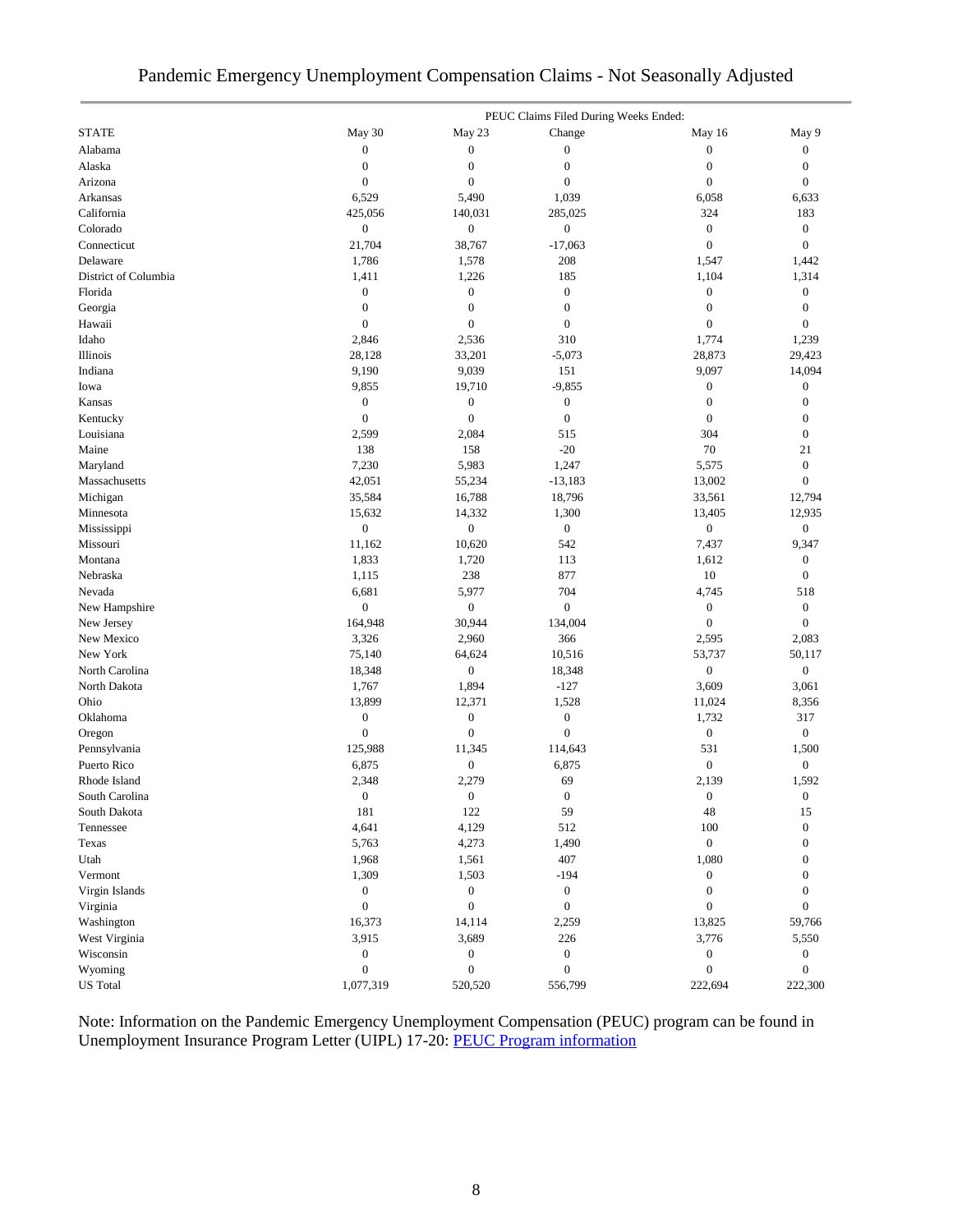## Pandemic Emergency Unemployment Compensation Claims - Not Seasonally Adjusted

|                      | PEUC Claims Filed During Weeks Ended: |                  |                  |                  |                  |  |
|----------------------|---------------------------------------|------------------|------------------|------------------|------------------|--|
| <b>STATE</b>         | May 30                                | May 23           | Change           | May 16           | May 9            |  |
| Alabama              | $\boldsymbol{0}$                      | $\boldsymbol{0}$ | $\boldsymbol{0}$ | $\boldsymbol{0}$ | $\boldsymbol{0}$ |  |
| Alaska               | $\boldsymbol{0}$                      | $\boldsymbol{0}$ | $\boldsymbol{0}$ | $\boldsymbol{0}$ | $\boldsymbol{0}$ |  |
| Arizona              | $\boldsymbol{0}$                      | $\boldsymbol{0}$ | $\boldsymbol{0}$ | $\boldsymbol{0}$ | $\boldsymbol{0}$ |  |
| Arkansas             | 6,529                                 | 5,490            | 1,039            | 6,058            | 6,633            |  |
| California           | 425,056                               | 140,031          | 285,025          | 324              | 183              |  |
| Colorado             | $\boldsymbol{0}$                      | $\boldsymbol{0}$ | $\boldsymbol{0}$ | $\boldsymbol{0}$ | $\boldsymbol{0}$ |  |
| Connecticut          | 21,704                                | 38,767           | $-17,063$        | $\boldsymbol{0}$ | $\boldsymbol{0}$ |  |
| Delaware             | 1,786                                 | 1,578            | 208              | 1,547            | 1,442            |  |
| District of Columbia | 1,411                                 | 1,226            | 185              | 1,104            | 1,314            |  |
| Florida              | $\boldsymbol{0}$                      | $\boldsymbol{0}$ | $\boldsymbol{0}$ | $\boldsymbol{0}$ | $\boldsymbol{0}$ |  |
| Georgia              | $\boldsymbol{0}$                      | $\boldsymbol{0}$ | $\boldsymbol{0}$ | $\boldsymbol{0}$ | $\boldsymbol{0}$ |  |
| Hawaii               | $\boldsymbol{0}$                      | $\boldsymbol{0}$ | $\boldsymbol{0}$ | $\boldsymbol{0}$ | $\boldsymbol{0}$ |  |
| Idaho                | 2,846                                 | 2,536            | 310              | 1,774            | 1,239            |  |
| Illinois             | 28,128                                | 33,201           | $-5,073$         | 28,873           | 29,423           |  |
| Indiana              | 9,190                                 | 9,039            | 151              | 9,097            | 14,094           |  |
| Iowa                 | 9,855                                 | 19,710           | $-9,855$         | $\boldsymbol{0}$ | $\mathbf{0}$     |  |
| Kansas               | $\boldsymbol{0}$                      | $\boldsymbol{0}$ | $\boldsymbol{0}$ | $\boldsymbol{0}$ | $\boldsymbol{0}$ |  |
| Kentucky             | $\boldsymbol{0}$                      | $\boldsymbol{0}$ | $\boldsymbol{0}$ | $\boldsymbol{0}$ | $\boldsymbol{0}$ |  |
| Louisiana            | 2,599                                 | 2,084            | 515              | 304              | $\boldsymbol{0}$ |  |
| Maine                | 138                                   | 158              | $-20$            | 70               | 21               |  |
| Maryland             | 7,230                                 | 5,983            | 1,247            | 5,575            | $\boldsymbol{0}$ |  |
| Massachusetts        | 42,051                                | 55,234           | $-13,183$        | 13,002           | $\boldsymbol{0}$ |  |
| Michigan             | 35,584                                | 16,788           | 18,796           | 33,561           | 12,794           |  |
| Minnesota            | 15,632                                | 14,332           | 1,300            | 13,405           | 12,935           |  |
| Mississippi          | $\boldsymbol{0}$                      | $\boldsymbol{0}$ | $\boldsymbol{0}$ | $\boldsymbol{0}$ | $\boldsymbol{0}$ |  |
| Missouri             | 11,162                                | 10,620           | 542              | 7,437            | 9,347            |  |
| Montana              | 1,833                                 | 1,720            | 113              | 1,612            | $\boldsymbol{0}$ |  |
| Nebraska             | 1,115                                 | 238              | 877              | 10               | $\boldsymbol{0}$ |  |
| Nevada               | 6,681                                 | 5,977            | 704              | 4,745            | 518              |  |
| New Hampshire        | $\boldsymbol{0}$                      | $\overline{0}$   | $\boldsymbol{0}$ | $\boldsymbol{0}$ | $\boldsymbol{0}$ |  |
| New Jersey           | 164,948                               | 30,944           | 134,004          | $\boldsymbol{0}$ | $\boldsymbol{0}$ |  |
| New Mexico           | 3,326                                 | 2,960            | 366              | 2,595            | 2,083            |  |
| New York             | 75,140                                | 64,624           | 10,516           | 53,737           | 50,117           |  |
| North Carolina       | 18,348                                | $\boldsymbol{0}$ | 18,348           | $\boldsymbol{0}$ | $\boldsymbol{0}$ |  |
| North Dakota         | 1,767                                 | 1,894            | $-127$           | 3,609            | 3,061            |  |
| Ohio                 | 13,899                                | 12,371           | 1,528            | 11,024           | 8,356            |  |
| Oklahoma             | $\boldsymbol{0}$                      | $\boldsymbol{0}$ | $\boldsymbol{0}$ | 1,732            | 317              |  |
| Oregon               | $\boldsymbol{0}$                      | $\boldsymbol{0}$ | $\boldsymbol{0}$ | $\boldsymbol{0}$ | $\boldsymbol{0}$ |  |
| Pennsylvania         | 125,988                               | 11,345           | 114,643          | 531              | 1,500            |  |
| Puerto Rico          | 6,875                                 | $\boldsymbol{0}$ | 6,875            | $\boldsymbol{0}$ | $\boldsymbol{0}$ |  |
| Rhode Island         | 2,348                                 | 2,279            | 69               | 2,139            | 1,592            |  |
| South Carolina       | $\boldsymbol{0}$                      | $\boldsymbol{0}$ | $\mathbf{0}$     | $\boldsymbol{0}$ | $\boldsymbol{0}$ |  |
| South Dakota         | 181                                   | 122              | 59               | 48               | 15               |  |
| Tennessee            | 4,641                                 | 4,129            | 512              | 100              | $\boldsymbol{0}$ |  |
| Texas                | 5,763                                 | 4,273            | 1,490            | $\boldsymbol{0}$ | $\boldsymbol{0}$ |  |
| Utah                 | 1,968                                 | 1,561            | 407              | 1,080            | $\boldsymbol{0}$ |  |
| Vermont              | 1,309                                 | 1,503            | $-194$           | $\boldsymbol{0}$ | $\boldsymbol{0}$ |  |
| Virgin Islands       | $\boldsymbol{0}$                      | $\boldsymbol{0}$ | $\boldsymbol{0}$ | $\boldsymbol{0}$ | $\overline{0}$   |  |
| Virginia             | $\boldsymbol{0}$                      | $\boldsymbol{0}$ | $\boldsymbol{0}$ | $\boldsymbol{0}$ | $\boldsymbol{0}$ |  |
| Washington           | 16,373                                | 14,114           | 2,259            | 13,825           | 59,766           |  |
| West Virginia        | 3,915                                 | 3,689            | 226              | 3,776            | 5,550            |  |
| Wisconsin            | $\boldsymbol{0}$                      | $\boldsymbol{0}$ | $\boldsymbol{0}$ | $\boldsymbol{0}$ | $\boldsymbol{0}$ |  |
| Wyoming              | $\boldsymbol{0}$                      | $\boldsymbol{0}$ | $\boldsymbol{0}$ | $\boldsymbol{0}$ | $\boldsymbol{0}$ |  |
| <b>US</b> Total      | 1,077,319                             | 520,520          | 556,799          | 222,694          | 222,300          |  |
|                      |                                       |                  |                  |                  |                  |  |

Note: Information on the Pandemic Emergency Unemployment Compensation (PEUC) program can be found in Unemployment Insurance Program Letter (UIPL) 17-20: [PEUC Program information](https://wdr.doleta.gov/directives/corr_doc.cfm?DOCN=8452)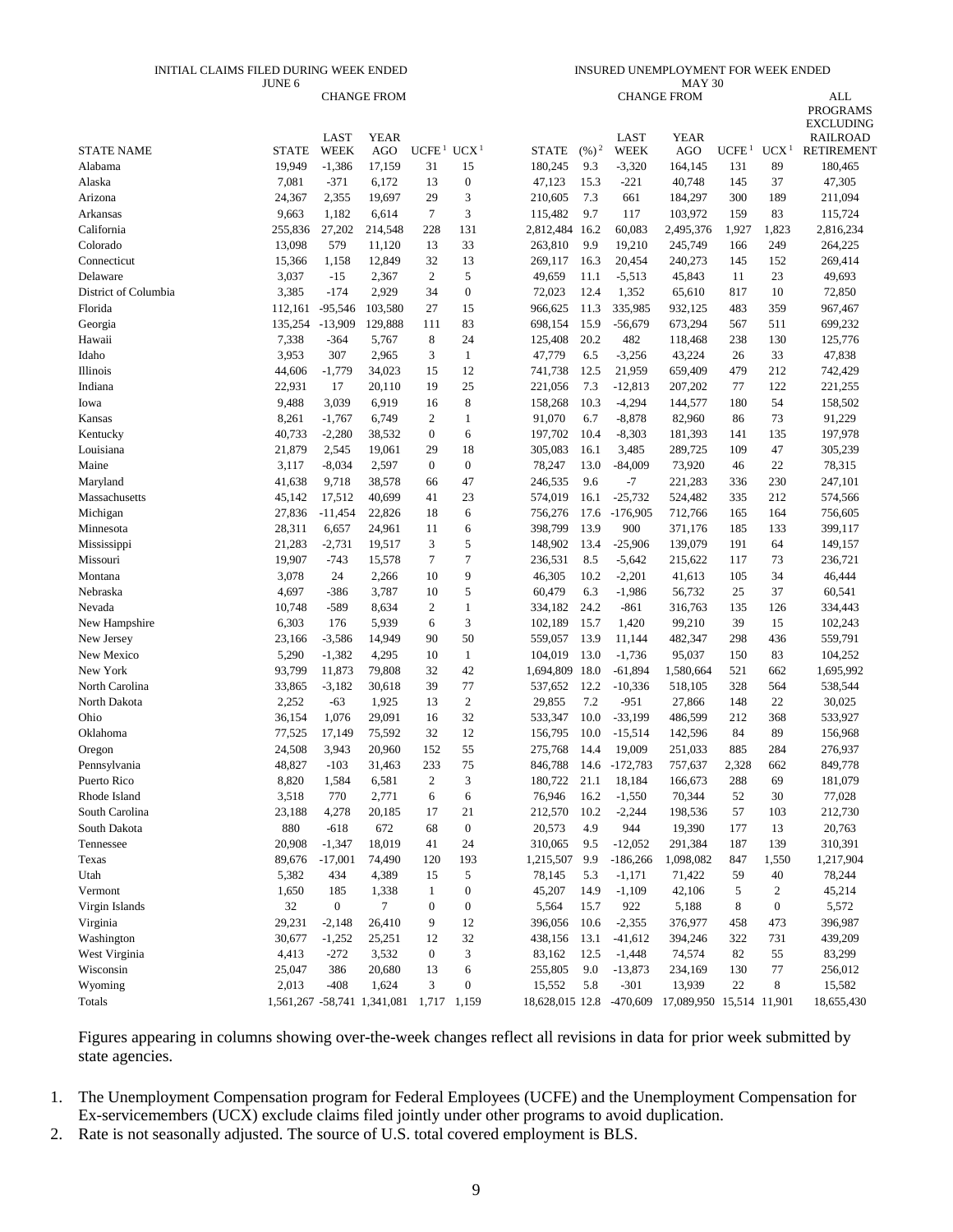#### INITIAL CLAIMS FILED DURING WEEK ENDED JUNE 6

#### INSURED UNEMPLOYMENT FOR WEEK ENDED MAY 30

|                      |              |                  | <b>CHANGE FROM</b>          |                                    |                  |                          |                   |             | <b>CHANGE FROM</b>       |                   |                  | <b>ALL</b>                           |
|----------------------|--------------|------------------|-----------------------------|------------------------------------|------------------|--------------------------|-------------------|-------------|--------------------------|-------------------|------------------|--------------------------------------|
|                      |              |                  |                             |                                    |                  |                          |                   |             |                          |                   |                  | <b>PROGRAMS</b>                      |
|                      |              | LAST             | <b>YEAR</b>                 |                                    |                  |                          |                   | LAST        | <b>YEAR</b>              |                   |                  | <b>EXCLUDING</b>                     |
| <b>STATE NAME</b>    | <b>STATE</b> | <b>WEEK</b>      | <b>AGO</b>                  | UCFE <sup>1</sup> UCX <sup>1</sup> |                  | <b>STATE</b>             | $(\frac{9}{6})^2$ | <b>WEEK</b> | <b>AGO</b>               | UCFE <sup>1</sup> | UCX <sup>1</sup> | <b>RAILROAD</b><br><b>RETIREMENT</b> |
| Alabama              | 19,949       | $-1,386$         | 17,159                      | 31                                 | 15               | 180,245                  | 9.3               | $-3,320$    | 164,145                  | 131               | 89               | 180,465                              |
| Alaska               | 7,081        | $-371$           | 6,172                       | 13                                 | $\boldsymbol{0}$ | 47,123                   | 15.3              | $-221$      | 40,748                   | 145               | 37               | 47,305                               |
| Arizona              | 24,367       | 2,355            | 19,697                      | 29                                 | 3                | 210,605                  | 7.3               | 661         | 184,297                  | 300               | 189              | 211,094                              |
| Arkansas             | 9,663        | 1,182            | 6,614                       | $\tau$                             | 3                | 115,482                  | 9.7               | 117         | 103,972                  | 159               | 83               | 115,724                              |
| California           | 255,836      | 27,202           | 214,548                     | 228                                | 131              | 2,812,484 16.2           |                   | 60,083      | 2,495,376                | 1,927             | 1,823            | 2,816,234                            |
| Colorado             | 13,098       | 579              | 11,120                      | 13                                 | 33               | 263,810                  | 9.9               | 19,210      | 245,749                  | 166               | 249              | 264,225                              |
| Connecticut          | 15,366       | 1,158            | 12,849                      | 32                                 | 13               | 269,117                  | 16.3              | 20,454      | 240,273                  | 145               | 152              | 269,414                              |
| Delaware             | 3,037        | $-15$            | 2,367                       | $\boldsymbol{2}$                   | 5                | 49,659                   | 11.1              | $-5,513$    | 45,843                   | 11                | 23               | 49,693                               |
| District of Columbia | 3,385        | $-174$           | 2,929                       | 34                                 | $\boldsymbol{0}$ | 72,023                   | 12.4              | 1,352       | 65,610                   | 817               | 10               | 72,850                               |
| Florida              | 112,161      | $-95,546$        | 103,580                     | 27                                 | 15               | 966,625                  | 11.3              | 335,985     | 932,125                  | 483               | 359              | 967,467                              |
| Georgia              | 135,254      | $-13,909$        | 129,888                     | 111                                | 83               | 698,154                  | 15.9              | $-56,679$   | 673,294                  | 567               | 511              | 699,232                              |
| Hawaii               | 7,338        | $-364$           | 5,767                       | 8                                  | 24               | 125,408                  | 20.2              | 482         | 118,468                  | 238               | 130              | 125,776                              |
| Idaho                | 3,953        | 307              | 2,965                       | 3                                  | $\mathbf{1}$     | 47,779                   | 6.5               | $-3,256$    | 43,224                   | 26                | 33               | 47,838                               |
| Illinois             | 44,606       | $-1,779$         | 34,023                      | 15                                 | 12               | 741,738                  | 12.5              | 21,959      | 659,409                  | 479               | 212              | 742,429                              |
| Indiana              | 22,931       | 17               | 20,110                      | 19                                 | 25               | 221,056                  | 7.3               | $-12,813$   | 207,202                  | 77                | 122              | 221,255                              |
| Iowa                 | 9,488        | 3,039            | 6,919                       | 16                                 | $\,$ 8 $\,$      | 158,268                  | 10.3              | $-4,294$    | 144,577                  | 180               | 54               | 158,502                              |
| Kansas               | 8,261        | $-1,767$         | 6,749                       | 2                                  | $\mathbf{1}$     | 91,070                   | 6.7               | $-8,878$    | 82,960                   | 86                | 73               | 91,229                               |
| Kentucky             | 40,733       | $-2,280$         | 38,532                      | $\boldsymbol{0}$                   | 6                | 197,702                  | 10.4              | $-8,303$    | 181,393                  | 141               | 135              | 197,978                              |
| Louisiana            | 21,879       | 2,545            | 19,061                      | 29                                 | 18               | 305,083                  | 16.1              | 3,485       | 289,725                  | 109               | 47               | 305,239                              |
| Maine                | 3,117        | $-8,034$         | 2,597                       | $\mathbf{0}$                       | $\boldsymbol{0}$ | 78,247                   | 13.0              | $-84,009$   | 73,920                   | 46                | 22               | 78,315                               |
| Maryland             | 41,638       | 9,718            | 38,578                      | 66                                 | 47               | 246,535                  | 9.6               | $-7$        | 221,283                  | 336               | 230              | 247,101                              |
| Massachusetts        | 45,142       | 17,512           | 40,699                      | 41                                 | 23               | 574,019                  | 16.1              | $-25,732$   | 524,482                  | 335               | 212              | 574,566                              |
| Michigan             | 27,836       | $-11,454$        | 22,826                      | 18                                 | 6                | 756,276                  | 17.6              | $-176,905$  | 712,766                  | 165               | 164              | 756,605                              |
| Minnesota            | 28,311       | 6,657            | 24,961                      | 11                                 | 6                | 398,799                  | 13.9              | 900         | 371,176                  | 185               | 133              | 399,117                              |
| Mississippi          | 21,283       | $-2,731$         | 19,517                      | 3                                  | 5                | 148,902                  | 13.4              | $-25,906$   | 139,079                  | 191               | 64               | 149,157                              |
| Missouri             | 19,907       | $-743$           | 15,578                      | 7                                  | $\tau$           | 236,531                  | 8.5               | $-5,642$    | 215,622                  | 117               | 73               | 236,721                              |
| Montana              | 3,078        | 24               | 2,266                       | 10                                 | 9                | 46,305                   | 10.2              | $-2,201$    | 41,613                   | 105               | 34               | 46,444                               |
| Nebraska             | 4,697        | $-386$           | 3,787                       | 10                                 | 5                | 60,479                   | 6.3               | $-1,986$    | 56,732                   | 25                | 37               | 60,541                               |
| Nevada               | 10,748       | $-589$           | 8,634                       | 2                                  | $\mathbf{1}$     | 334,182                  | 24.2              | $-861$      | 316,763                  | 135               | 126              | 334,443                              |
| New Hampshire        | 6,303        | 176              | 5,939                       | 6                                  | 3                | 102,189                  | 15.7              | 1,420       | 99,210                   | 39                | 15               | 102,243                              |
| New Jersey           | 23,166       | $-3,586$         | 14,949                      | 90                                 | 50               | 559,057                  | 13.9              | 11,144      | 482,347                  | 298               | 436              | 559,791                              |
| New Mexico           | 5,290        | $-1,382$         | 4,295                       | 10                                 | $\mathbf{1}$     | 104,019                  | 13.0              | $-1,736$    | 95,037                   | 150               | 83               | 104,252                              |
| New York             | 93,799       | 11,873           | 79,808                      | 32                                 | 42               | 1,694,809                | 18.0              | $-61,894$   | 1,580,664                | 521               | 662              | 1,695,992                            |
| North Carolina       | 33,865       | $-3,182$         | 30,618                      | 39                                 | 77               | 537,652                  | 12.2              | $-10,336$   | 518,105                  | 328               | 564              | 538,544                              |
| North Dakota         | 2,252        | $-63$            | 1,925                       | 13                                 | $\sqrt{2}$       | 29,855                   | 7.2               | $-951$      | 27,866                   | 148               | 22               | 30,025                               |
| Ohio                 | 36,154       | 1,076            | 29,091                      | 16                                 | 32               | 533,347                  | 10.0              | $-33,199$   | 486,599                  | 212               | 368              | 533,927                              |
| Oklahoma             | 77,525       | 17,149           | 75,592                      | 32                                 | 12               | 156,795                  | 10.0              | $-15,514$   | 142,596                  | 84                | 89               | 156,968                              |
| Oregon               | 24,508       | 3,943            | 20,960                      | 152                                | 55               | 275,768                  | 14.4              | 19,009      | 251,033                  | 885               | 284              | 276,937                              |
| Pennsylvania         | 48,827       | $-103$           | 31,463                      | 233                                | 75               | 846,788                  | 14.6              | -172,783    | 757,637                  | 2,328             | 662              | 849,778                              |
| Puerto Rico          | 8,820        | 1,584            | 6,581                       | $\overline{2}$                     | 3                | 180,722                  | 21.1              | 18,184      | 166,673                  | 288               | 69               | 181,079                              |
| Rhode Island         | 3,518        | 770              | 2,771                       | 6                                  | 6                | 76,946                   | 16.2              | $-1,550$    | 70,344                   | 52                | 30               | 77,028                               |
| South Carolina       | 23,188       | 4,278            | 20,185                      | 17                                 | 21               | 212,570                  | 10.2              | $-2,244$    | 198,536                  | 57                | 103              | 212,730                              |
| South Dakota         | 880          | $-618$           | 672                         | 68                                 | $\boldsymbol{0}$ | 20,573                   | 4.9               | 944         | 19,390                   | 177               | 13               | 20,763                               |
| Tennessee            | 20,908       | $-1,347$         | 18,019                      | 41                                 | 24               | 310,065                  | 9.5               | $-12,052$   | 291,384                  | 187               | 139              | 310,391                              |
| Texas                | 89,676       | $-17,001$        | 74,490                      | 120                                | 193              | 1,215,507                | 9.9               | $-186,266$  | 1,098,082                | 847               | 1,550            | 1,217,904                            |
| Utah                 | 5,382        | 434              | 4,389                       | 15                                 | 5                | 78,145                   | 5.3               | $-1,171$    | 71,422                   | 59                | 40               | 78,244                               |
| Vermont              | 1,650        | 185              | 1,338                       | 1                                  | $\boldsymbol{0}$ | 45,207                   | 14.9              | $-1,109$    | 42,106                   | $\mathfrak s$     | 2                | 45,214                               |
| Virgin Islands       | 32           | $\boldsymbol{0}$ | $\tau$                      | $\boldsymbol{0}$                   | $\boldsymbol{0}$ | 5,564                    | 15.7              | 922         | 5,188                    | 8                 | $\boldsymbol{0}$ | 5,572                                |
| Virginia             | 29,231       | $-2,148$         | 26,410                      | 9                                  | 12               | 396,056                  | 10.6              | $-2,355$    | 376,977                  | 458               | 473              | 396,987                              |
| Washington           | 30,677       | $-1,252$         | 25,251                      | 12                                 | 32               | 438,156                  | 13.1              | $-41,612$   | 394,246                  | 322               | 731              | 439,209                              |
| West Virginia        | 4,413        | $-272$           | 3,532                       | $\boldsymbol{0}$                   | 3                | 83,162                   | 12.5              | $-1,448$    | 74,574                   | 82                | 55               | 83,299                               |
| Wisconsin            | 25,047       | 386              | 20,680                      | 13                                 | 6                | 255,805                  | 9.0               | $-13,873$   | 234,169                  | 130               | 77               | 256,012                              |
| Wyoming              | 2,013        | $-408$           | 1,624                       | 3                                  | $\boldsymbol{0}$ | 15,552                   | 5.8               | $-301$      | 13,939                   | 22                | 8                | 15,582                               |
| Totals               |              |                  | 1,561,267 -58,741 1,341,081 | 1,717 1,159                        |                  | 18,628,015 12.8 -470,609 |                   |             | 17,089,950 15,514 11,901 |                   |                  | 18,655,430                           |

Figures appearing in columns showing over-the-week changes reflect all revisions in data for prior week submitted by state agencies.

- 1. The Unemployment Compensation program for Federal Employees (UCFE) and the Unemployment Compensation for Ex-servicemembers (UCX) exclude claims filed jointly under other programs to avoid duplication.
- 2. Rate is not seasonally adjusted. The source of U.S. total covered employment is BLS.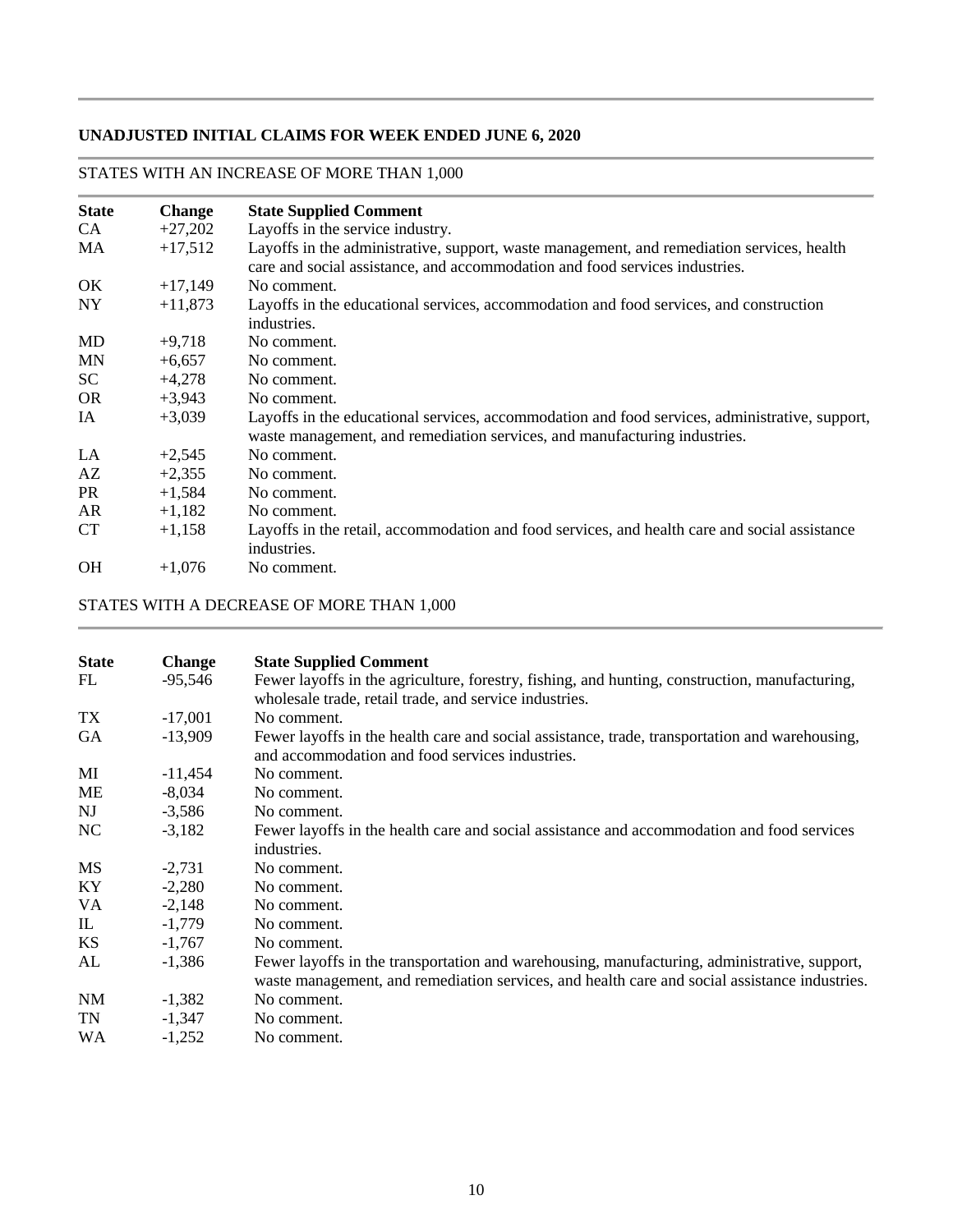## **UNADJUSTED INITIAL CLAIMS FOR WEEK ENDED JUNE 6, 2020**

## **State Change State Supplied Comment**<br>CA +27,202 Layoffs in the service indus CA  $+27,202$  Layoffs in the service industry. MA +17,512 Layoffs in the administrative, support, waste management, and remediation services, health care and social assistance, and accommodation and food services industries. OK  $+17,149$  No comment. NY +11,873 Layoffs in the educational services, accommodation and food services, and construction industries.  $MD$   $+9,718$  No comment. MN  $+6,657$  No comment.  $SC +4,278$  No comment. OR  $+3.943$  No comment. IA +3,039 Layoffs in the educational services, accommodation and food services, administrative, support, waste management, and remediation services, and manufacturing industries. LA  $+2,545$  No comment.  $AZ \qquad +2.355 \qquad No comment.$ PR  $+1,584$  No comment.  $AR$  +1,182 No comment. CT +1,158 Layoffs in the retail, accommodation and food services, and health care and social assistance industries. OH  $+1.076$  No comment.

### STATES WITH AN INCREASE OF MORE THAN 1,000

STATES WITH A DECREASE OF MORE THAN 1,000

| <b>State</b><br>FL | <b>Change</b><br>-95,546 | <b>State Supplied Comment</b><br>Fewer layoffs in the agriculture, forestry, fishing, and hunting, construction, manufacturing,<br>wholesale trade, retail trade, and service industries.     |
|--------------------|--------------------------|-----------------------------------------------------------------------------------------------------------------------------------------------------------------------------------------------|
| TX                 | $-17,001$                | No comment.                                                                                                                                                                                   |
| <b>GA</b>          | $-13,909$                | Fewer layoffs in the health care and social assistance, trade, transportation and warehousing,<br>and accommodation and food services industries.                                             |
| MI                 | $-11,454$                | No comment.                                                                                                                                                                                   |
| <b>ME</b>          | $-8,034$                 | No comment.                                                                                                                                                                                   |
| NJ                 | $-3,586$                 | No comment.                                                                                                                                                                                   |
| NC                 | $-3,182$                 | Fewer layoffs in the health care and social assistance and accommodation and food services<br>industries.                                                                                     |
| <b>MS</b>          | $-2,731$                 | No comment.                                                                                                                                                                                   |
| KY                 | $-2,280$                 | No comment.                                                                                                                                                                                   |
| VA.                | $-2,148$                 | No comment.                                                                                                                                                                                   |
| IL                 | $-1,779$                 | No comment.                                                                                                                                                                                   |
| <b>KS</b>          | $-1,767$                 | No comment.                                                                                                                                                                                   |
| AL                 | $-1,386$                 | Fewer layoffs in the transportation and warehousing, manufacturing, administrative, support,<br>waste management, and remediation services, and health care and social assistance industries. |
| <b>NM</b>          | $-1,382$                 | No comment.                                                                                                                                                                                   |
| <b>TN</b>          | $-1,347$                 | No comment.                                                                                                                                                                                   |
| <b>WA</b>          | $-1,252$                 | No comment.                                                                                                                                                                                   |